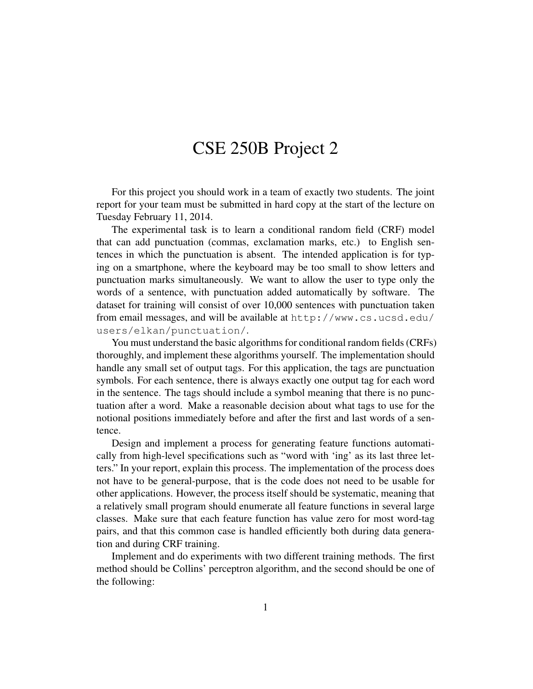## CSE 250B Project 2

For this project you should work in a team of exactly two students. The joint report for your team must be submitted in hard copy at the start of the lecture on Tuesday February 11, 2014.

The experimental task is to learn a conditional random field (CRF) model that can add punctuation (commas, exclamation marks, etc.) to English sentences in which the punctuation is absent. The intended application is for typing on a smartphone, where the keyboard may be too small to show letters and punctuation marks simultaneously. We want to allow the user to type only the words of a sentence, with punctuation added automatically by software. The dataset for training will consist of over 10,000 sentences with punctuation taken from email messages, and will be available at http://www.cs.ucsd.edu/ users/elkan/punctuation/.

You must understand the basic algorithms for conditional random fields (CRFs) thoroughly, and implement these algorithms yourself. The implementation should handle any small set of output tags. For this application, the tags are punctuation symbols. For each sentence, there is always exactly one output tag for each word in the sentence. The tags should include a symbol meaning that there is no punctuation after a word. Make a reasonable decision about what tags to use for the notional positions immediately before and after the first and last words of a sentence.

Design and implement a process for generating feature functions automatically from high-level specifications such as "word with 'ing' as its last three letters." In your report, explain this process. The implementation of the process does not have to be general-purpose, that is the code does not need to be usable for other applications. However, the process itself should be systematic, meaning that a relatively small program should enumerate all feature functions in several large classes. Make sure that each feature function has value zero for most word-tag pairs, and that this common case is handled efficiently both during data generation and during CRF training.

Implement and do experiments with two different training methods. The first method should be Collins' perceptron algorithm, and the second should be one of the following: